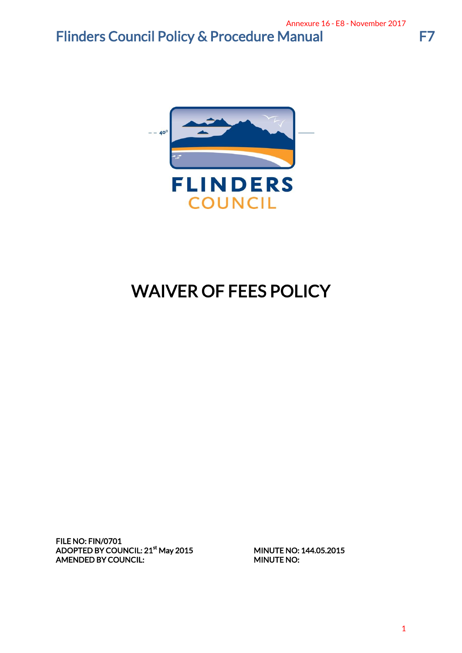## Flinders Council Policy & Procedure Manual F7



# WAIVER OF FEES POLICY

FILE NO: FIN/0701 ADOPTED BY COUNCIL: 21<sup>st</sup> May 2015 AMENDED BY COUNCIL: MINUTE NO:

MINUTE NO: 144.05.2015

 $\mathbf{1}$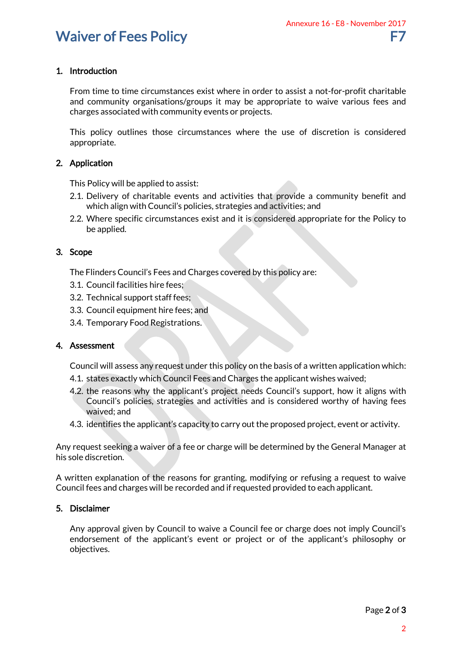### 1. Introduction

From time to time circumstances exist where in order to assist a not-for-profit charitable and community organisations/groups it may be appropriate to waive various fees and charges associated with community events or projects. Annexure 16 - E8 - November 2017<br>
F7<br>
sassist a not-for-profit charitable<br>
iate to waive various fees and<br>
see of discretion is considered<br>
wide a community benefit and<br>
wide a community benefit and<br>
vidies; and<br>
ed approp

This policy outlines those circumstances where the use of discretion is considered appropriate.

#### 2. Application

This Policy will be applied to assist:

- 2.1. Delivery of charitable events and activities that provide a community benefit and which align with Council's policies, strategies and activities; and
- 2.2. Where specific circumstances exist and it is considered appropriate for the Policy to be applied.

#### 3. Scope

- The Flinders Council's Fees and Charges covered by this policy are:
- 3.1. Council facilities hire fees;
- 3.2. Technical support staff fees;
- 3.3. Council equipment hire fees; and
- 3.4. Temporary Food Registrations.

#### 4. Assessment

Council will assess any request under this policy on the basis of a written application which:

- 4.1. states exactly which Council Fees and Charges the applicant wishes waived;
- 4.2. the reasons why the applicant's project needs Council's support, how it aligns with Council's policies, strategies and activities and is considered worthy of having fees waived; and
- 4.3. identifies the applicant's capacity to carry out the proposed project, event or activity.

Any request seeking a waiver of a fee or charge will be determined by the General Manager at his sole discretion.

A written explanation of the reasons for granting, modifying or refusing a request to waive Council fees and charges will be recorded and if requested provided to each applicant.

#### 5. Disclaimer

Any approval given by Council to waive a Council fee or charge does not imply Council's endorsement of the applicant's event or project or of the applicant's philosophy or objectives.